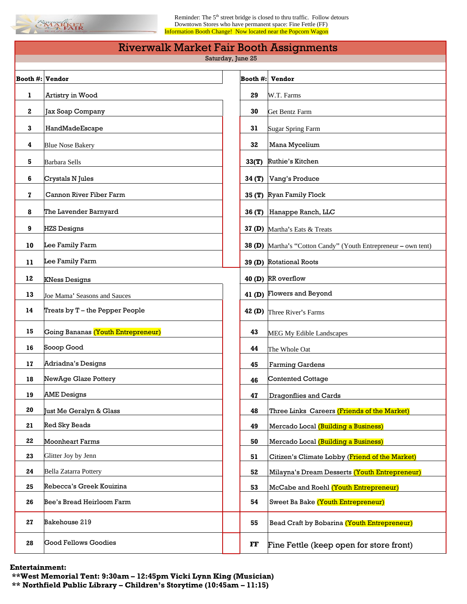

Reminder: The 5<sup>th</sup> street bridge is closed to thru traffic. Follow detours Downtown Stores who have permanent space: Fine Fettle (FF) Information Booth Change! Now located near the Popcorn Wagon

| <b>Riverwalk Market Fair Booth Assignments</b> |                                    |  |          |                                                                       |
|------------------------------------------------|------------------------------------|--|----------|-----------------------------------------------------------------------|
| Saturday, June 25                              |                                    |  |          |                                                                       |
| <b>Booth #: Vendor</b>                         |                                    |  | Booth #: | <b>Vendor</b>                                                         |
| 1                                              | Artistry in Wood                   |  | 29       | W.T. Farms                                                            |
| 2                                              | Jax Soap Company                   |  | 30       | <b>Get Bentz Farm</b>                                                 |
| 3                                              | HandMadeEscape                     |  | 31       | <b>Sugar Spring Farm</b>                                              |
| 4                                              | <b>Blue Nose Bakery</b>            |  | 32       | Mana Mycelium                                                         |
| 5                                              | <b>Barbara Sells</b>               |  | 33(T)    | Ruthie's Kitchen                                                      |
| 6                                              | Crystals N Jules                   |  | 34 (T)   | Vang's Produce                                                        |
| 7                                              | Cannon River Fiber Farm            |  |          | 35 (T) Ryan Family Flock                                              |
| 8                                              | The Lavender Barnyard              |  |          | 36 (T) Hanappe Ranch, LLC                                             |
| 9                                              | <b>HZS Designs</b>                 |  |          | 37 (D) Martha's Eats & Treats                                         |
| 10                                             | Lee Family Farm                    |  |          | <b>38 (D)</b> Martha's "Cotton Candy" (Youth Entrepreneur – own tent) |
| 11                                             | Lee Family Farm                    |  |          | 39 (D) Rotational Roots                                               |
| 12                                             | <b>KNess Designs</b>               |  |          | 40 (D) RR overflow                                                    |
| 13                                             | Joe Mama' Seasons and Sauces       |  |          | 41 (D) Flowers and Beyond                                             |
| 14                                             | Treats by T - the Pepper People    |  |          | <b>42 (D)</b> Three River's Farms                                     |
| 15                                             | Going Bananas (Youth Entrepreneur) |  | 43       | MEG My Edible Landscapes                                              |
| 16                                             | Sooop Good                         |  | 44       | The Whole Oat                                                         |
| 17                                             | Adriadna's Designs                 |  | 45       | <b>Farming Gardens</b>                                                |
| 18                                             | NewAge Glaze Pottery               |  | 46       | Contented Cottage                                                     |
| 19                                             | <b>AME</b> Designs                 |  | 47       | Dragonflies and Cards                                                 |
| 20                                             | Just Me Geralyn & Glass            |  | 48       | Three Links Careers (Friends of the Market)                           |
| 21                                             | <b>Red Sky Beads</b>               |  | 49       | Mercado Local (Building a Business)                                   |
| 22                                             | <b>Moonheart Farms</b>             |  | 50       | Mercado Local (Building a Business)                                   |
| 23                                             | Glitter Joy by Jenn                |  | 51       | Citizen's Climate Lobby (Friend of the Market)                        |
| 24                                             | <b>Bella Zatarra Pottery</b>       |  | 52       | Milayna's Dream Desserts (Youth Entrepreneur)                         |
| 25                                             | Rebecca's Greek Kouizina           |  | 53       | McCabe and Roehl (Youth Entrepreneur)                                 |
| 26                                             | Bee's Bread Heirloom Farm          |  | 54       | Sweet Ba Bake (Youth Entrepreneur)                                    |
| 27                                             | Bakehouse 219                      |  | 55       | Bead Craft by Bobarina (Youth Entrepreneur)                           |
| 28                                             | <b>Good Fellows Goodies</b>        |  | FF       | Fine Fettle (keep open for store front)                               |

**Entertainment:** 

**\*\*West Memorial Tent: 9:30am – 12:45pm Vicki Lynn King (Musician) \*\* Northfield Public Library – Children's Storytime (10:45am – 11:15)**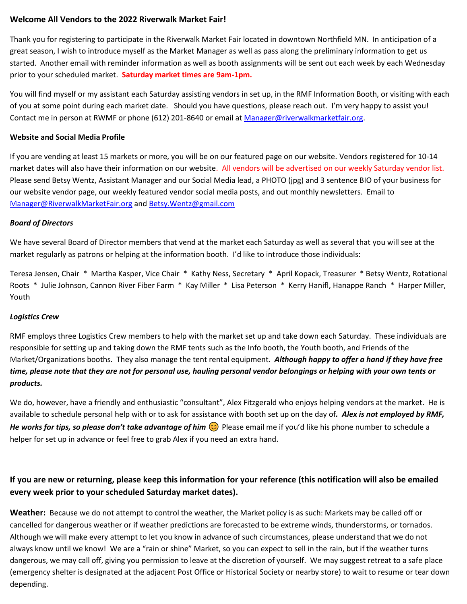## **Welcome All Vendors to the 2022 Riverwalk Market Fair!**

Thank you for registering to participate in the Riverwalk Market Fair located in downtown Northfield MN. In anticipation of a great season, I wish to introduce myself as the Market Manager as well as pass along the preliminary information to get us started. Another email with reminder information as well as booth assignments will be sent out each week by each Wednesday prior to your scheduled market. **Saturday market times are 9am-1pm.**

You will find myself or my assistant each Saturday assisting vendors in set up, in the RMF Information Booth, or visiting with each of you at some point during each market date. Should you have questions, please reach out. I'm very happy to assist you! Contact me in person at RWMF or phone (612) 201-8640 or email at [Manager@riverwalkmarketfair.org.](mailto:Manager@riverwalkmarketfair.org)

#### **Website and Social Media Profile**

If you are vending at least 15 markets or more, you will be on our featured page on our website. Vendors registered for 10-14 market dates will also have their information on our website. All vendors will be advertised on our weekly Saturday vendor list. Please send Betsy Wentz, Assistant Manager and our Social Media lead, a PHOTO (jpg) and 3 sentence BIO of your business for our website vendor page, our weekly featured vendor social media posts, and out monthly newsletters. Email to [Manager@RiverwalkMarketFair.org](mailto:Manager@RiverwalkMarketFair.org) and [Betsy.Wentz@gmail.com](mailto:Betsy.Wentz@gmail.com)

#### *Board of Directors*

We have several Board of Director members that vend at the market each Saturday as well as several that you will see at the market regularly as patrons or helping at the information booth. I'd like to introduce those individuals:

Teresa Jensen, Chair \* Martha Kasper, Vice Chair \* Kathy Ness, Secretary \* April Kopack, Treasurer \* Betsy Wentz, Rotational Roots \* Julie Johnson, Cannon River Fiber Farm \* Kay Miller \* Lisa Peterson \* Kerry Hanifl, Hanappe Ranch \* Harper Miller, Youth

### *Logistics Crew*

RMF employs three Logistics Crew members to help with the market set up and take down each Saturday. These individuals are responsible for setting up and taking down the RMF tents such as the Info booth, the Youth booth, and Friends of the Market/Organizations booths. They also manage the tent rental equipment*. Although happy to offer a hand if they have free time, please note that they are not for personal use, hauling personal vendor belongings or helping with your own tents or products.*

We do, however, have a friendly and enthusiastic "consultant", Alex Fitzgerald who enjoys helping vendors at the market. He is available to schedule personal help with or to ask for assistance with booth set up on the day of*. Alex is not employed by RMF, He works for tips, so please don't take advantage of him*  $\odot$  Please email me if you'd like his phone number to schedule a helper for set up in advance or feel free to grab Alex if you need an extra hand.

# **If you are new or returning, please keep this information for your reference (this notification will also be emailed every week prior to your scheduled Saturday market dates).**

**Weather:** Because we do not attempt to control the weather, the Market policy is as such: Markets may be called off or cancelled for dangerous weather or if weather predictions are forecasted to be extreme winds, thunderstorms, or tornados. Although we will make every attempt to let you know in advance of such circumstances, please understand that we do not always know until we know! We are a "rain or shine" Market, so you can expect to sell in the rain, but if the weather turns dangerous, we may call off, giving you permission to leave at the discretion of yourself. We may suggest retreat to a safe place (emergency shelter is designated at the adjacent Post Office or Historical Society or nearby store) to wait to resume or tear down depending.